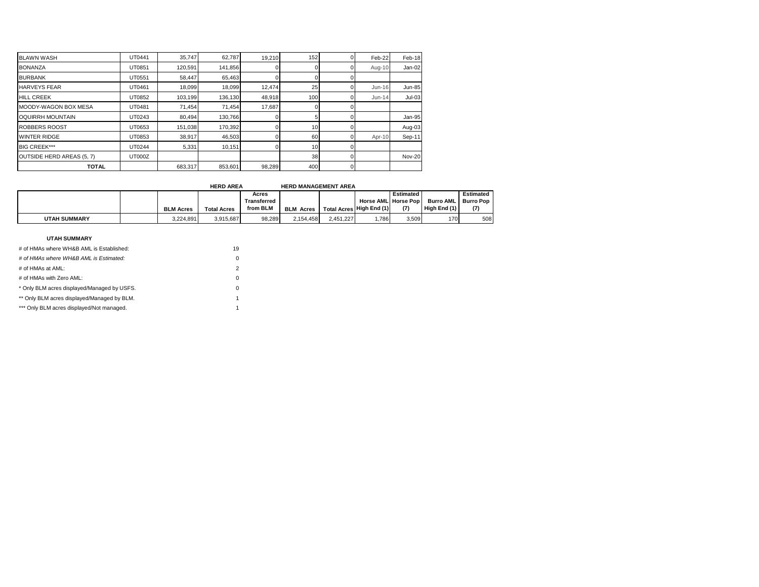| <b>BLAWN WASH</b>               | UT0441 | 35,747  | 62,787  | 19,210 | 152             | Feb-22   | Feb-18        |
|---------------------------------|--------|---------|---------|--------|-----------------|----------|---------------|
| <b>BONANZA</b>                  | UT0851 | 120,591 | 141,856 |        |                 | Aug-10   | Jan-02        |
| <b>BURBANK</b>                  | UT0551 | 58,447  | 65,463  |        |                 |          |               |
| <b>HARVEYS FEAR</b>             | UT0461 | 18,099  | 18,099  | 12,474 | 25              | Jun-16   | <b>Jun-85</b> |
| <b>HILL CREEK</b>               | UT0852 | 103,199 | 136,130 | 48,918 | 100             | $Jun-14$ | $Jul-03$      |
| MOODY-WAGON BOX MESA            | UT0481 | 71,454  | 71,454  | 17,687 |                 |          |               |
| <b>OQUIRRH MOUNTAIN</b>         | UT0243 | 80,494  | 130,766 |        |                 |          | Jan-95        |
| <b>ROBBERS ROOST</b>            | UT0653 | 151,038 | 170,392 |        | 10 <sup>1</sup> |          | Aug-03        |
| <b>WINTER RIDGE</b>             | UT0853 | 38,917  | 46,503  |        | 60              | Apr-10   | Sep-11        |
| <b>BIG CREEK***</b>             | UT0244 | 5,331   | 10,151  |        | 10              |          |               |
| <b>OUTSIDE HERD AREAS (5.7)</b> | UT000Z |         |         |        | 38              |          | Nov-20        |
| <b>TOTAL</b>                    |        | 683,317 | 853,601 | 98,289 | 400             |          |               |

|                     |                  | <b>HERD AREA</b>   |             | <b>HERD MANAGEMENT AREA</b> |                          |                             |           |              |                  |
|---------------------|------------------|--------------------|-------------|-----------------------------|--------------------------|-----------------------------|-----------|--------------|------------------|
|                     |                  |                    | Acres       |                             |                          |                             | Estimated |              | Estimated        |
|                     |                  |                    | Transferred |                             |                          | <b>Horse AMLI Horse Pop</b> |           | Burro AML    | <b>Burro Pop</b> |
|                     | <b>BLM Acres</b> | <b>Total Acres</b> | from BLM    | <b>BLM Acres</b>            | Total Acres High End (1) |                             | (7)       | High End (1) |                  |
| <b>UTAH SUMMARY</b> | 3.224.891        | 3.915.687          | 98.289      | 2.154.458                   | 2.451.227                | .786                        | 3.509     | 170          | 508              |

| # of HMAs where WH&B AML is Established:    | 19 |
|---------------------------------------------|----|
| # of HMAs where WH&B AML is Estimated:      | 0  |
| # of HMAs at AML:                           | 2  |
| # of HMAs with Zero AML:                    | 0  |
| * Only BLM acres displayed/Managed by USFS. | 0  |
| ** Only BLM acres displayed/Managed by BLM. | 1  |
| *** Only BLM acres displayed/Not managed.   |    |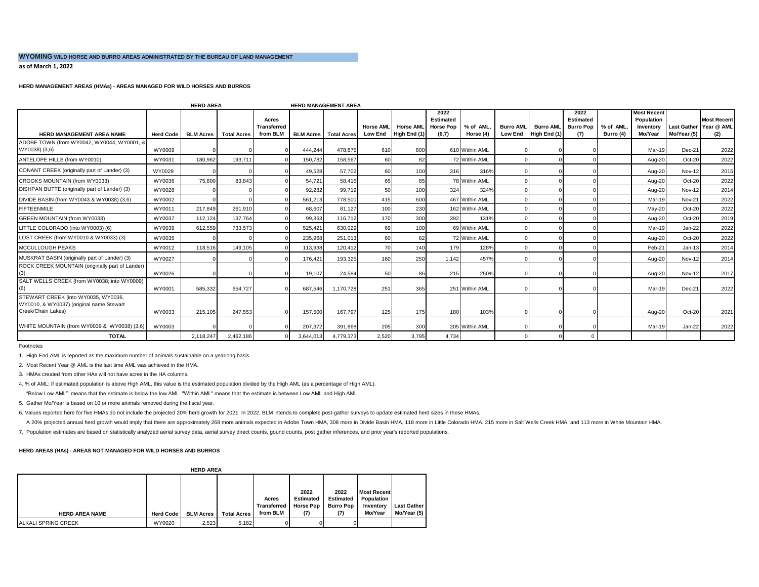## **WYOMING WILD HORSE AND BURRO AREAS ADMINISTRATED BY THE BUREAU OF LAND MANAGEMENT**

**as of March 1, 2022** 

## **HERD MANAGEMENT AREAS (HMAs) - AREAS MANAGED FOR WILD HORSES AND BURROS**

|                                                                                                       |                  | <b>HERD AREA</b> |                    |                                         |           | <b>HERD MANAGEMENT AREA</b>    |                                    |                                  |                                                       |                       |                                    |                                  |                                              |                        |                                                          |                                   |                                         |
|-------------------------------------------------------------------------------------------------------|------------------|------------------|--------------------|-----------------------------------------|-----------|--------------------------------|------------------------------------|----------------------------------|-------------------------------------------------------|-----------------------|------------------------------------|----------------------------------|----------------------------------------------|------------------------|----------------------------------------------------------|-----------------------------------|-----------------------------------------|
| <b>HERD MANAGEMENT AREA NAME</b>                                                                      | <b>Herd Code</b> | <b>BLM Acres</b> | <b>Total Acres</b> | Acres<br><b>Transferred</b><br>from BLM |           | <b>BLM Acres</b>   Total Acres | <b>Horse AML</b><br><b>Low End</b> | <b>Horse AML</b><br>High End (1) | 2022<br><b>Estimated</b><br><b>Horse Pop</b><br>(6,7) | % of AML<br>Horse (4) | <b>Burro AML</b><br><b>Low End</b> | <b>Burro AML</b><br>High End (1) | 2022<br>Estimated<br><b>Burro Pop</b><br>(7) | % of AML.<br>Burro (4) | <b>Most Recent</b><br>Population<br>Inventory<br>Mo/Year | <b>Last Gather</b><br>Mo/Year (5) | <b>Most Recent</b><br>Year @ AML<br>(2) |
| ADOBE TOWN (from WY0042, WY0044, WY0001, &<br>WY0038) (3,6)                                           | WY0009           |                  |                    |                                         | 444.244   | 478.875                        | 610                                | 800                              |                                                       | 610 Within AML        |                                    |                                  |                                              |                        | Mar-19                                                   | Dec-21                            | 2022                                    |
| ANTELOPE HILLS (from WY0010)                                                                          | WY0031           | 180.962          | 193.711            |                                         | 150.782   | 158.567                        | 60                                 | 82                               |                                                       | 72 Within AML         |                                    |                                  |                                              |                        | Aug-20                                                   | Oct-20                            | 2022                                    |
| CONANT CREEK (originally part of Lander) (3)                                                          | WY0029           |                  |                    |                                         | 49.528    | 57.702                         | 60                                 | 100                              | 316                                                   | 316%                  |                                    |                                  |                                              |                        | Aug-20                                                   | <b>Nov-12</b>                     | 2015                                    |
| CROOKS MOUNTAIN (from WY0033)                                                                         | WY0036           | 75,800           | 83.843             |                                         | 54.721    | 58.415                         | 65                                 | 85                               |                                                       | 78 Within AML         |                                    |                                  |                                              |                        | Aug-20                                                   | Oct-20                            | 2022                                    |
| DISHPAN BUTTE (originally part of Lander) (3)                                                         | WY0028           |                  |                    |                                         | 92.282    | 99.719                         | 50                                 | 100                              | 324                                                   | 324%                  |                                    |                                  |                                              |                        | Aug-20                                                   | <b>Nov-12</b>                     | 2014                                    |
| DIVIDE BASIN (from WY0043 & WY0038) (3,6)                                                             | WY0002           |                  |                    |                                         | 561,213   | 778,500                        | 415                                | 600                              |                                                       | 467 Within AML        |                                    |                                  |                                              |                        | Mar-19                                                   | <b>Nov-21</b>                     | 2022                                    |
| <b>FIFTEENMILE</b>                                                                                    | WY0011           | 217,849          | 261,910            |                                         | 68,607    | 81,127                         | 100                                | 230                              |                                                       | 162 Within AML        |                                    |                                  |                                              |                        | $May-20$                                                 | Oct-20                            | 2022                                    |
| <b>GREEN MOUNTAIN (from WY0033)</b>                                                                   | WY0037           | 112.124          | 137.764            |                                         | 99.363    | 116.712                        | 170                                | 300                              | 392                                                   | 131%                  |                                    |                                  |                                              |                        | Aug-20                                                   | Oct-20                            | 2019                                    |
| LITTLE COLORADO (into WY0003) (6)                                                                     | WY0039           | 612,559          | 733,573            |                                         | 525,421   | 630,029                        | 69                                 | 100                              |                                                       | 69 Within AML         |                                    |                                  |                                              |                        | Mar-19                                                   | Jan-22                            | 2022                                    |
| LOST CREEK (from WY0010 & WY0033) (3)                                                                 | WY0035           |                  |                    |                                         | 235,968   | 251,013                        | 60                                 | 82                               |                                                       | 72 Within AML         |                                    |                                  |                                              |                        | Aug-20                                                   | Oct-20                            | 2022                                    |
| MCCULLOUGH PEAKS                                                                                      | WY0012           | 118,516          | 149,105            |                                         | 113,938   | 120,412                        | 70                                 | 140                              | 179                                                   | 128%                  |                                    |                                  |                                              |                        | Feb-21                                                   | $Jan-13$                          | 2014                                    |
| MUSKRAT BASIN (originally part of Lander) (3)                                                         | WY0027           |                  |                    |                                         | 176,421   | 193.325                        | 160                                | 250                              | 1.142                                                 | 457%                  |                                    |                                  |                                              |                        | Aug-20                                                   | Nov-12                            | 2014                                    |
| ROCK CREEK MOUNTAIN (originally part of Lander)<br>(3)                                                | WY0026           |                  |                    |                                         | 19,107    | 24,584                         | 50                                 | 86                               | 215                                                   | 250%                  |                                    |                                  |                                              |                        | Aug-20                                                   | Nov-12                            | 2017                                    |
| SALT WELLS CREEK (from WY0038; into WY0009)<br>(6)                                                    | WY0001           | 585.332          | 654.727            |                                         | 687,546   | 1,170,728                      | 251                                | 365                              |                                                       | 251 Within AML        |                                    |                                  |                                              |                        | Mar-19                                                   | Dec-21                            | 2022                                    |
| STEWART CREEK (into WY0035, WY0036,<br>WY0010, & WY0037) (original name Stewart<br>Creek/Chain Lakes) | WY0033           | 215,105          | 247,553            |                                         | 157,500   | 167,797                        | 125                                | 175                              | 180                                                   | 103%                  |                                    |                                  |                                              |                        | Aug-20                                                   | Oct-20                            | 2021                                    |
| WHITE MOUNTAIN (from WY0039 & WY0038) (3,6)                                                           | WY0003           |                  |                    |                                         | 207,372   | 391,868                        | 205                                | 300                              |                                                       | 205 Within AML        |                                    |                                  |                                              |                        | Mar-19                                                   | Jan-22                            | 2022                                    |
| <b>TOTAL</b>                                                                                          |                  | 2,118,247        | 2,462,186          |                                         | 3,644,013 | 4,779,373                      | 2,520                              | 3,795                            | 4,734                                                 |                       |                                    |                                  | $\Omega$                                     |                        |                                                          |                                   |                                         |

Footnotes

1. High End AML is reported as the maximum number of animals sustainable on a yearlong basis.

2. Most Recent Year @ AML is the last time AML was achieved in the HMA.

3. HMAs created from other HAs will not have acres in the HA columns.

4. % of AML: If estimated population is above High AML, this value is the estimated population divided by the High AML (as a percentage of High AML).

"Below Low AML" means that the estimate is below the low AML. "Within AML" means that the estimate is between Low AML and High AML.

5. Gather Mo/Year is based on 10 or more animals removed during the fiscal year.

6. Values reported here for five HMAs do not include the projected 20% herd growth for 2021. In 2022, BLM intends to complete post-gather surveys to update estimated herd sizes in these HMAs.

A 20% projected annual herd growth would imply that there are approximately 268 more animals expected in Adobe Town HMA, 308 more in Divide Basin HMA, 118 more in Little Colorado HMA, 215 more in Salt Wells Creek HMA, and

7. Population estimates are based on statistically analyzed aerial survey data, aerial survey direct counts, gound counts, post gather inferences, and prior year's reported populations.

#### **HERD AREAS (HAs) - AREAS NOT MANAGED FOR WILD HORSES AND BURROS**

 **HERD AREA** 

| <b>NEND ANEA</b>           |                  |                  |                    |             |                  |                  |                    |                    |  |  |  |
|----------------------------|------------------|------------------|--------------------|-------------|------------------|------------------|--------------------|--------------------|--|--|--|
|                            |                  |                  |                    |             | 2022             | 2022             | <b>Most Recent</b> |                    |  |  |  |
|                            |                  |                  |                    |             |                  |                  |                    |                    |  |  |  |
|                            |                  |                  |                    | Acres       | <b>Estimated</b> | <b>Estimated</b> | <b>Population</b>  |                    |  |  |  |
|                            |                  |                  |                    | Transferred | <b>Horse Pop</b> | <b>Burro Pop</b> | Inventory          | <b>Last Gather</b> |  |  |  |
| <b>HERD AREA NAME</b>      | <b>Herd Code</b> | <b>BLM Acres</b> | <b>Total Acres</b> | from BLM    | (7)              | (7)              | Mo/Year            | Mo/Year (5)        |  |  |  |
| <b>ALKALI SPRING CREEK</b> | WY0020           | 2.523            | 5.182              |             |                  |                  |                    |                    |  |  |  |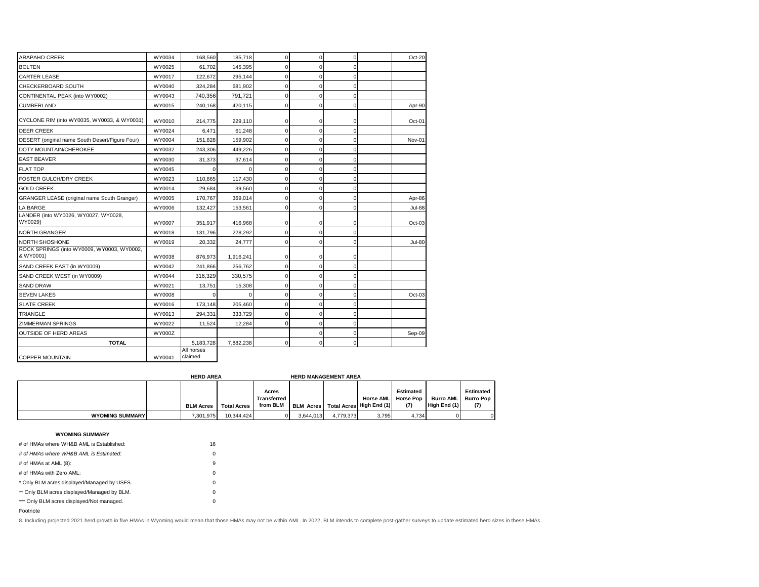| <b>ARAPAHO CREEK</b>                                    | WY0034        | 168,560               | 185,718   | $\mathbf 0$ | 0           | $\mathbf 0$ | Oct-20        |
|---------------------------------------------------------|---------------|-----------------------|-----------|-------------|-------------|-------------|---------------|
| <b>BOLTEN</b>                                           | WY0025        | 61,702                | 145.395   | $\Omega$    | $\Omega$    | $\Omega$    |               |
| <b>CARTER LEASE</b>                                     | WY0017        | 122,672               | 295,144   | $\mathbf 0$ | 0           | $\mathbf 0$ |               |
| CHECKERBOARD SOUTH                                      | WY0040        | 324,284               | 681,902   | $\mathbf 0$ | 0           | $\Omega$    |               |
| CONTINENTAL PEAK (into WY0002)                          | WY0043        | 740,356               | 791,721   | 0           | $\mathbf 0$ | $\mathbf 0$ |               |
| <b>CUMBERLAND</b>                                       | WY0015        | 240.168               | 420.115   | $\mathbf 0$ | 0           | $\mathbf 0$ | Apr-90        |
| CYCLONE RIM (into WY0035, WY0033, & WY0031)             | WY0010        | 214,775               | 229,110   | 0           | 0           | $\mathbf 0$ | Oct-01        |
| <b>DEER CREEK</b>                                       | WY0024        | 6,471                 | 61,248    | $\Omega$    | $\Omega$    | $\Omega$    |               |
| DESERT (original name South Desert/Figure Four)         | WY0004        | 151,828               | 159,902   | $\mathbf 0$ | 0           | $\mathbf 0$ | Nov-01        |
| DOTY MOUNTAIN/CHEROKEE                                  | WY0032        | 243,306               | 449,226   | $\mathbf 0$ | 0           | $\mathbf 0$ |               |
| <b>EAST BEAVER</b>                                      | WY0030        | 31,373                | 37,614    | $\Omega$    | $\Omega$    | $\Omega$    |               |
| <b>FLAT TOP</b>                                         | WY0045        | $\Omega$              | $\Omega$  | $\mathbf 0$ | 0           | $\mathbf 0$ |               |
| <b>FOSTER GULCH/DRY CREEK</b>                           | WY0023        | 110,865               | 117,430   | $\Omega$    | $\mathbf 0$ | $\mathbf 0$ |               |
| <b>GOLD CREEK</b>                                       | WY0014        | 29,684                | 39,560    | $\mathbf 0$ | $\mathbf 0$ | $\Omega$    |               |
| <b>GRANGER LEASE (original name South Granger)</b>      | WY0005        | 170,767               | 369.014   | $\mathbf 0$ | 0           | $\mathbf 0$ | Apr-86        |
| LA BARGE                                                | WY0006        | 132,427               | 153,561   | 0           | 0           | $\mathbf 0$ | <b>Jul-88</b> |
| LANDER (into WY0026, WY0027, WY0028,<br>WY0029)         | WY0007        | 351,917               | 416.968   | 0           | 0           | 0           | $Oct-03$      |
| <b>NORTH GRANGER</b>                                    | WY0018        | 131,796               | 228,292   | $\mathbf 0$ | 0           | $\mathbf 0$ |               |
| NORTH SHOSHONE                                          | WY0019        | 20,332                | 24,777    | $\mathbf 0$ | $\mathbf 0$ | $\mathbf 0$ | <b>Jul-80</b> |
| ROCK SPRINGS (into WY0009, WY0003, WY0002,<br>& WY0001) | WY0038        | 876,973               | 1,916,241 | $\mathbf 0$ | 0           | $\Omega$    |               |
| SAND CREEK EAST (in WY0009)                             | WY0042        | 241,866               | 256,762   | $\mathbf 0$ | 0           | $\mathbf 0$ |               |
| SAND CREEK WEST (in WY0009)                             | WY0044        | 316,329               | 330,575   | $\mathbf 0$ | 0           | $\Omega$    |               |
| <b>SAND DRAW</b>                                        | WY0021        | 13,751                | 15,308    | $\mathbf 0$ | 0           | $\mathbf 0$ |               |
| <b>SEVEN LAKES</b>                                      | WY0008        | O.                    | $\Omega$  | $\mathbf 0$ | 0           | $\mathbf 0$ | $Oct-03$      |
| <b>SLATE CREEK</b>                                      | WY0016        | 173,148               | 205.460   | $\mathbf 0$ | $\mathbf 0$ | $\mathbf 0$ |               |
| <b>TRIANGLE</b>                                         | WY0013        | 294,331               | 333,729   | $\mathbf 0$ | 0           | $\mathbf 0$ |               |
| <b>ZIMMERMAN SPRINGS</b>                                | WY0022        | 11,524                | 12,284    | $\Omega$    | 0           | $\Omega$    |               |
| <b>OUTSIDE OF HERD AREAS</b>                            | <b>WY000Z</b> |                       |           |             | 0           | $\mathbf 0$ | Sep-09        |
| <b>TOTAL</b>                                            |               | 5,183,728             | 7,882,238 | $\mathbf 0$ | 0           | $\Omega$    |               |
| <b>COPPER MOUNTAIN</b>                                  | WY0041        | All horses<br>claimed |           |             |             |             |               |

|                        | <b>HERD AREA</b> |                    |                                  | <b>HERD MANAGEMENT AREA</b>            |           |                  |                                             |                                  |                                      |
|------------------------|------------------|--------------------|----------------------------------|----------------------------------------|-----------|------------------|---------------------------------------------|----------------------------------|--------------------------------------|
|                        | <b>BLM Acres</b> | <b>Total Acres</b> | Acres<br>Transferred<br>from BLM | BLM Acres   Total Acres   High End (1) |           | <b>Horse AML</b> | <b>Estimated</b><br><b>Horse Pop</b><br>(7) | <b>Burro AML</b><br>High End (1) | Estimated<br><b>Burro Pop</b><br>(7) |
| <b>WYOMING SUMMARY</b> | 7.301.975        | 10.344.424         | $\Omega$                         | 3.644.013                              | 4.779.373 | 3.795            | 4.734                                       |                                  | $\Omega$                             |

## **WYOMING SUMMARY**

| # of HMAs where WH&B AML is Established:    | 16       |  |
|---------------------------------------------|----------|--|
| # of HMAs where WH&B AML is Estimated:      | $\Omega$ |  |
| # of HMAs at AML (8):                       | 9        |  |
| # of HMAs with Zero AML:                    | $\Omega$ |  |
| * Only BLM acres displayed/Managed by USFS. | $\Omega$ |  |
| ** Only BLM acres displayed/Managed by BLM. | $\Omega$ |  |
| *** Only BLM acres displayed/Not managed.   | $\Omega$ |  |
|                                             |          |  |

Footnote

8. Including projected 2021 herd growth in five HMAs in Wyoming would mean that those HMAs may not be within AML. In 2022, BLM intends to complete post-gather surveys to update estimated herd sizes in these HMAs.